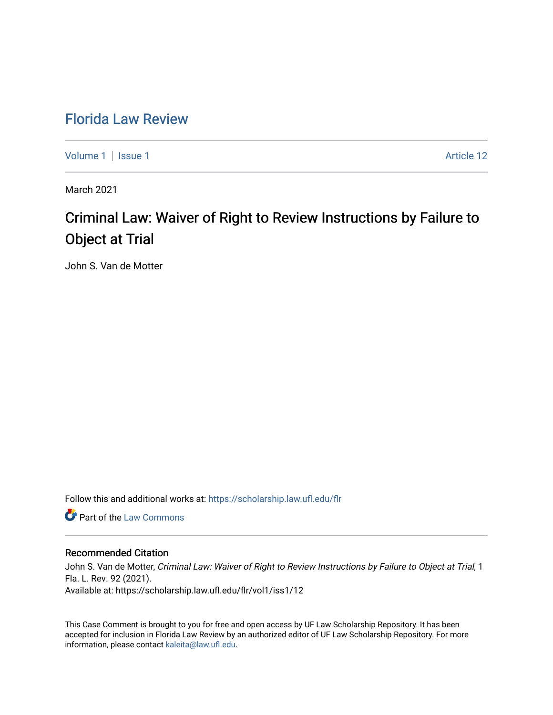## [Florida Law Review](https://scholarship.law.ufl.edu/flr)

[Volume 1](https://scholarship.law.ufl.edu/flr/vol1) | [Issue 1](https://scholarship.law.ufl.edu/flr/vol1/iss1) Article 12

March 2021

# Criminal Law: Waiver of Right to Review Instructions by Failure to Object at Trial

John S. Van de Motter

Follow this and additional works at: [https://scholarship.law.ufl.edu/flr](https://scholarship.law.ufl.edu/flr?utm_source=scholarship.law.ufl.edu%2Fflr%2Fvol1%2Fiss1%2F12&utm_medium=PDF&utm_campaign=PDFCoverPages)

**C** Part of the [Law Commons](http://network.bepress.com/hgg/discipline/578?utm_source=scholarship.law.ufl.edu%2Fflr%2Fvol1%2Fiss1%2F12&utm_medium=PDF&utm_campaign=PDFCoverPages)

### Recommended Citation

John S. Van de Motter, Criminal Law: Waiver of Right to Review Instructions by Failure to Object at Trial, 1 Fla. L. Rev. 92 (2021). Available at: https://scholarship.law.ufl.edu/flr/vol1/iss1/12

This Case Comment is brought to you for free and open access by UF Law Scholarship Repository. It has been accepted for inclusion in Florida Law Review by an authorized editor of UF Law Scholarship Repository. For more information, please contact [kaleita@law.ufl.edu.](mailto:kaleita@law.ufl.edu)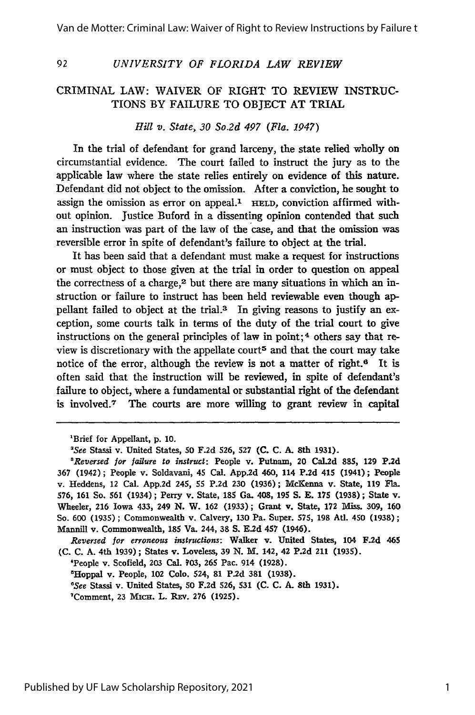#### *UNIVERSITY OF FLORIDA LAW REVIEW*

#### CRIMINAL LAW: WAIVER OF RIGHT TO REVIEW INSTRUC-TIONS BY FAILURE TO OBJECT AT TRIAL

#### *Hill v. State, 30 So.2d 497 (Fla. 1947)*

In the trial of defendant for grand larceny, the state relied wholly on circumstantial evidence. The court failed to instruct the jury as to the applicable law where the state relies entirely on evidence of this nature. Defendant did not object to the omission. After a conviction, he sought to assign the omission as error on appeal.<sup>1</sup> HELD, conviction affirmed without opinion. Justice Buford in a dissenting opinion contended that such an instruction was part of the law of the case, and that the omission was reversible error in spite of defendant's failure to object at the trial.

It has been said that a defendant must make a request for instructions or must object to those given at the trial in order to question on appeal the correctness of a charge,<sup>2</sup> but there are many situations in which an instruction or failure to instruct has been held reviewable even though appellant failed to object at the trial.<sup>3</sup> In giving reasons to justify an exception, some courts talk in terms of the duty of the trial court to give instructions on the general principles of law in point;<sup>4</sup> others say that review is discretionary with the appellate court<sup>5</sup> and that the court may take notice of the error, although the review is not a matter of right.<sup>6</sup> It is often said that the instruction will be reviewed, in spite of defendant's failure to object, where a fundamental or substantial right of the defendant is involved.7 The courts are more willing to grant review in capital

92

*Reversed for erroneous instructions:* Walker v. United States, 104 **F.2d** 465 **(C. C. A.** 4th **1939);** States v. Loveless, **39 N.** M. 142, 42 **P.2d** 211 **(1935).**

'People v. Scofield, **203** Cal. **703, 265** Pac. 914 **(1928).**

'Hoppal v. People, 102 **Colo.** 524, **81 P.2d 381 (1938).**

*'See* Stassi v. United States, **50 F.2d 526, 531 (C. C. A. 8th 1931).**

'Comment, **23** MIcH. L. REv. **276 (1925).**

<sup>&#</sup>x27;Brief for Appellant, p. 10.

*<sup>&#</sup>x27;See* Stassi v. United States, **50 F.2d** 526, **527 (C. C. A.** 8th **1931).**

*<sup>&#</sup>x27;Reversed for failure to instruct:* People v. Putnam, 20 Cal.2d 885, **129 P.2d** 367 (1942); People v. Soldavani, 45 Cal. **App.2d** 460, 114 P.2d 415 (1941); People v. Heddens, 12 Cal. **App.2d** 245, 55 **P.2d 230** (1936); McKenna v. State, 119 Fla. 576, **161** So. **561** (1934) ; Perry v. State, 185 Ga. 408, **195 S. E. 175 (1938);** State v. Wheeler, 216 Iowa 433, 249 **N.** W. **162** (1933); Grant v. State, **172** Miss. 309, **160** So. 600 (1935); Commonwealth v. Calvery, 130 Pa. Super. 575, **198** At. 450 **(1938);** Mannill v. Commonwealth, 185 Va. 244, 38 **S. E.2d** 457 (1946).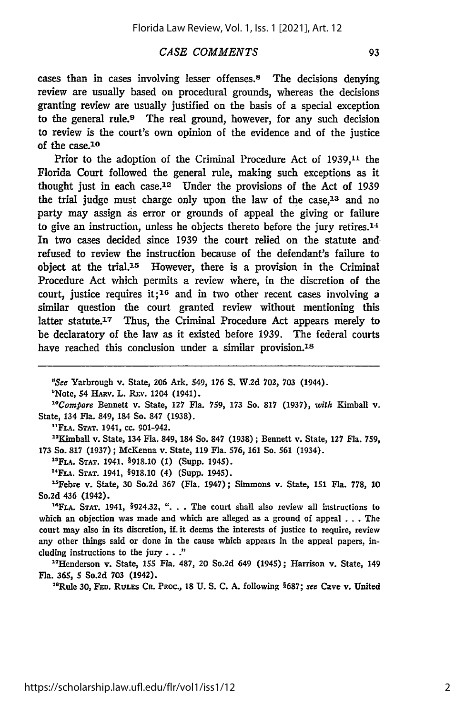#### *CASE COMMENTS*

cases than in cases involving lesser offenses.8 The decisions denying review are usually based on procedural grounds, whereas the decisions granting review are usually justified on the basis of a special exception to the general rule.<sup>9</sup> The real ground, however, for any such decision to review is the court's own opinion of the evidence and of the justice of the case.<sup>10</sup>

Prior to the adoption of the Criminal Procedure Act of 1939,<sup>11</sup> the Florida Court followed the general rule, making such exceptions as it thought just in each case.12 Under the provisions of the Act of 1939 the trial judge must charge only upon the law of the case,<sup>13</sup> and no party may assign as error or grounds of appeal the giving or failure to give an instruction, unless he objects thereto before the jury retires. $14$ In two cases decided since 1939 the court relied on the statute and refused to review the instruction because of the defendant's failure to object at the trial.15 However, there is a provision in the Criminal Procedure Act which permits a review where, in the discretion of the court, justice requires it;<sup>16</sup> and in two other recent cases involving a similar question the court granted review without mentioning this latter statute.<sup>17</sup> Thus, the Criminal Procedure Act appears merely to be declaratory of the law as it existed before 1939. The federal courts have reached this conclusion under a similar provision.<sup>18</sup>

"See Yarbrough v. State, **206** Ark. 549, **176 S.** W.2d **702, 703** (1944).

<sup>9</sup>Note, 54 HARV. L. REV. 1204 (1941).

*" 0 Compare* Bennett v. State, **127** Fla. **759, 173** So. **817 (1937),** *with* Kimball v. State, 134 Fla. 849, 184 So. **847** (1938).

**"FLA. STAT. 1941,** cc. 901-942.

" 2 Kimball v. State, 134 Fla. 849, 184 So. **847** (1938) ; Bennett v. State, **127** Fla. 759, **173** So. **817** (1937) ; McKenna v. State, **119** Fla. **576, 161** So. **561** (1934).

**"FLA. STAT.** 1941. §918.10 **(1)** (Supp. 1945).

**"FLA. STAT.** 1941, §918.10 (4) (Supp. 1945).

"Febre v. State, **30** So.2d **367** (Fla. 1947); Simmons v. State, 151 Fla. **778, 10** So.2d 436 (1942).

<sup>16</sup>FLA. STAT. 1941, §924.32, ". . . The court shall also review all instructions to which an objection was made and which are alleged as a ground of appeal . . . The court may also in its discretion, if. it deems the interests of justice to require, review any other things said or done in the cause which appears in the appeal papers, including instructions to the jury . . *."*

"'Henderson v. State, **155** Fla. 487, 20 So.2d 649 (1945); Harrison v. State, 149 Fla. **365, 5** So.2d **703** (1942).

<sup>18</sup>Rule 30, FED. RULES CR. PROC., 18 U. S. C. A. following §687; see Cave v. United